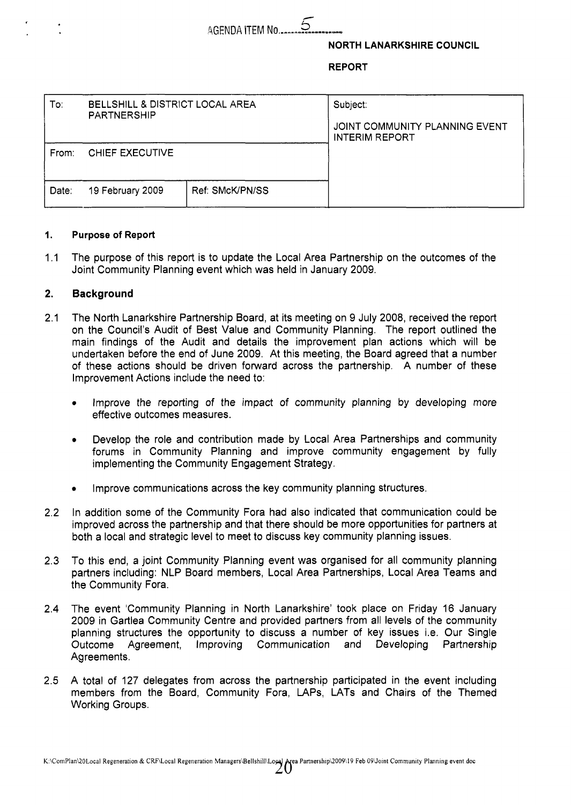**AGENDA ITEM No ...** 

**NORTH LANARKSHIRE COUNCIL** 

**REPORT** 

| To∶   | BELLSHILL & DISTRICT LOCAL AREA<br><b>PARTNERSHIP</b> |                 | Subject:<br>JOINT COMMUNITY PLANNING EVENT<br><b>INTERIM REPORT</b> |
|-------|-------------------------------------------------------|-----------------|---------------------------------------------------------------------|
| From: | CHIEF EXECUTIVE                                       |                 |                                                                     |
| Date: | 19 February 2009                                      | Ref: SMcK/PN/SS |                                                                     |

#### **1. Purpose of Report**

 $1.1$ The purpose of this report is to update the Local Area Partnership on the outcomes of the Joint Community Planning event which was held in January 2009.

#### **2. Background**

- 2.1 The North Lanarkshire Partnership Board, at its meeting on 9 July 2008, received the report on the Council's Audit of Best Value and Community Planning. The report outlined the main findings of the Audit and details the improvement plan actions which will be undertaken before the end of June 2009. **At** this meeting, the Board agreed that a number of these actions should be driven forward across the partnership. A number of these Improvement Actions include the need to:
	- Improve the reporting of the impact of community planning by developing more effective outcomes measures.
	- Develop the role and contribution made by Local Area Partnerships and community forums in Community Planning and improve community engagement by fully implementing the Community Engagement Strategy.
	- Improve communications across the key community planning structures.
- 2.2 In addition some of the Community Fora had also indicated that communication could be improved across the partnership and that there should be more opportunities for partners at both a local and strategic level to meet to discuss key community planning issues.
- 2.3 To this end, a joint Community Planning event was organised for all community planning partners including: NLP Board members, Local Area Partnerships, Local Area Teams and the Community Fora.
- 2.4 The event 'Community Planning in North Lanarkshire' took place on Friday 16 January 2009 in Gartlea Community Centre and provided partners from all levels of the community planning structures the opportunity to discuss a number of key issues i.e. Our Single Outcome Agreement, Improving Communication and Developing Partnership Agreements.
- 2.5 A total of 127 delegates from across the partnership participated in the event including members from the Board, Community Fora, LAPS, LATs and Chairs of the Themed Working Groups.

K:\ComPlan\20Local Regeneration & CRF\Local Regeneration Managers\Bellshill\Logal Area Partnership\2009\19 Feb 09\Joint Community Planning event doc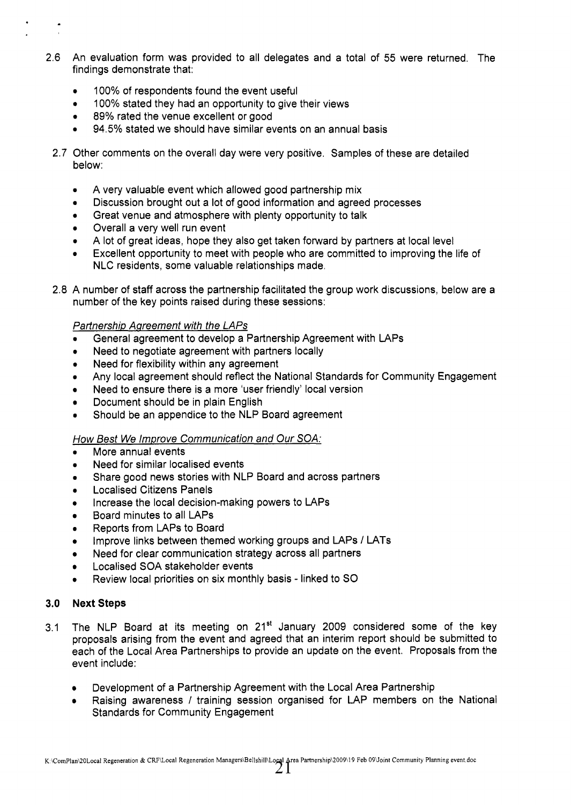- 2.6 An evaluation form was provided to all delegates and a total of 55 were returned. The findings demonstrate that:
	- *0*  100% of respondents found the event useful
	- *0*  100% stated they had an opportunity to give their views
	- *0*  89% rated the venue excellent or good
	- *0*  94.5% stated we should have similar events on an annual basis
	- 2.7 Other comments on the overall day were very positive. Samples of these are detailed below:
		- *0*  A very valuable event which allowed good partnership mix
		- *0*  Discussion brought out a lot of good information and agreed processes
		- *0*  Great venue and atmosphere with plenty opportunity to talk
		- *0*  Overall a very well run event
		- *0*  A lot of great ideas, hope they also get taken forward by partners at local level
		- *0*  Excellent opportunity to meet with people who are committed to improving the life of NLC residents, some valuable relationships made.
	- 2.8 A number of staff across the partnership facilitated the group work discussions, below are a number of the key points raised during these sessions:

## *Partnership Aareement with the LAPs*

- *0*  General agreement to develop a Partnership Agreement with LAPs
- *0*  Need to negotiate agreement with partners locally
- *0*  Need for flexibility within any agreement
- *0*  Any local agreement should reflect the National Standards for Community Engagement
- Need to ensure there is a more 'user friendly' local version
- Document should be in plain English
- *0*  Should be an appendice to the NLP Board agreement

## *How Best We Improve Communication and Our SOA:*

- *<sup>0</sup>*More annual events
- **Need for similar localised events**
- Share good news stories with NLP Board and across partners
- **Localised Citizens Panels**
- Increase the local decision-making powers to LAPs
- Board minutes to all LAPs
- Reports from LAPs to Board
- Improve links between themed working groups and LAPs / LATs  $\bullet$
- Need for clear communication strategy across all partners
- Localised SOA stakeholder events
- Review local priorities on six monthly basis linked to SO

## **3.0 Next Steps**

- 3.1 The NLP Board at its meeting on 21<sup>st</sup> January 2009 considered some of the key proposals arising from the event and agreed that an interim report should be submitted to each of the Local Area Partnerships to provide an update on the event. Proposals from the event include:
	- Development of a Partnership Agreement with the Local Area Partnership  $\bullet$
	- Raising awareness / training session organised for LAP members on the National Standards for Community Engagement